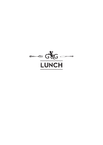